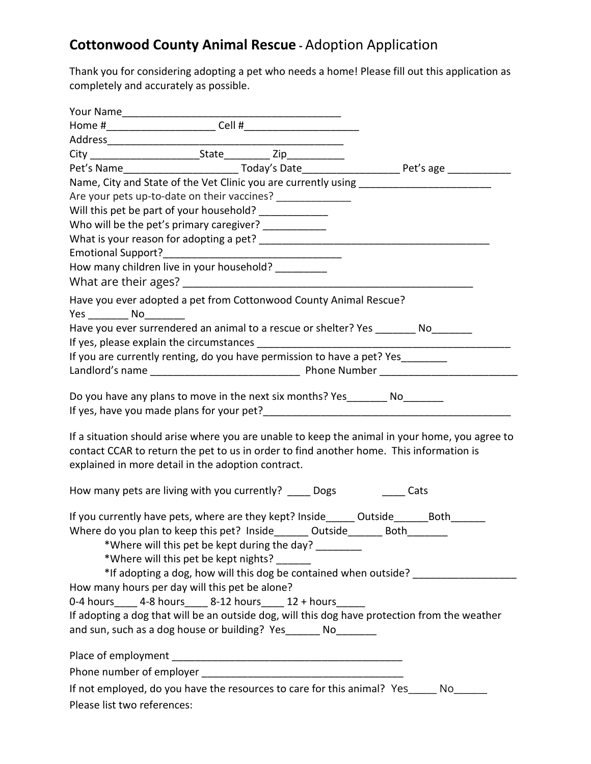## **Cottonwood County Animal Rescue -** Adoption Application

Thank you for considering adopting a pet who needs a home! Please fill out this application as completely and accurately as possible.

|                                                                                                                                                                                                                                                           |  | Pet's Name_______________________________Today's Date___________________________Pet's age _______________ |
|-----------------------------------------------------------------------------------------------------------------------------------------------------------------------------------------------------------------------------------------------------------|--|-----------------------------------------------------------------------------------------------------------|
| Name, City and State of the Vet Clinic you are currently using __________________                                                                                                                                                                         |  |                                                                                                           |
| Are your pets up-to-date on their vaccines? ______________                                                                                                                                                                                                |  |                                                                                                           |
| Will this pet be part of your household? ______________                                                                                                                                                                                                   |  |                                                                                                           |
| Who will be the pet's primary caregiver? ___________                                                                                                                                                                                                      |  |                                                                                                           |
|                                                                                                                                                                                                                                                           |  |                                                                                                           |
|                                                                                                                                                                                                                                                           |  |                                                                                                           |
| How many children live in your household? __________                                                                                                                                                                                                      |  |                                                                                                           |
|                                                                                                                                                                                                                                                           |  |                                                                                                           |
| Have you ever adopted a pet from Cottonwood County Animal Rescue?                                                                                                                                                                                         |  |                                                                                                           |
| Yes No                                                                                                                                                                                                                                                    |  |                                                                                                           |
| Have you ever surrendered an animal to a rescue or shelter? Yes ________ No_______                                                                                                                                                                        |  |                                                                                                           |
|                                                                                                                                                                                                                                                           |  |                                                                                                           |
| If you are currently renting, do you have permission to have a pet? Yes________                                                                                                                                                                           |  |                                                                                                           |
|                                                                                                                                                                                                                                                           |  |                                                                                                           |
| Do you have any plans to move in the next six months? Yes _________ No                                                                                                                                                                                    |  |                                                                                                           |
| contact CCAR to return the pet to us in order to find another home. This information is<br>explained in more detail in the adoption contract.                                                                                                             |  | If a situation should arise where you are unable to keep the animal in your home, you agree to            |
| How many pets are living with you currently? _____ Dogs Cats                                                                                                                                                                                              |  |                                                                                                           |
| If you currently have pets, where are they kept? Inside_eductside_educator_______<br>Where do you plan to keep this pet? Inside_______ Outside_______ Both_______<br>*Where will this pet be kept during the day?<br>*Where will this pet be kept nights? |  | *If adopting a dog, how will this dog be contained when outside? _______________                          |
| How many hours per day will this pet be alone?                                                                                                                                                                                                            |  |                                                                                                           |
| 0-4 hours _____ 4-8 hours _____ 8-12 hours _____ 12 + hours ______                                                                                                                                                                                        |  |                                                                                                           |
| If adopting a dog that will be an outside dog, will this dog have protection from the weather                                                                                                                                                             |  |                                                                                                           |
| and sun, such as a dog house or building? Yes______ No_______                                                                                                                                                                                             |  |                                                                                                           |
|                                                                                                                                                                                                                                                           |  |                                                                                                           |
|                                                                                                                                                                                                                                                           |  |                                                                                                           |
| If not employed, do you have the resources to care for this animal? Yes_____ No_____                                                                                                                                                                      |  |                                                                                                           |
| Please list two references:                                                                                                                                                                                                                               |  |                                                                                                           |
|                                                                                                                                                                                                                                                           |  |                                                                                                           |